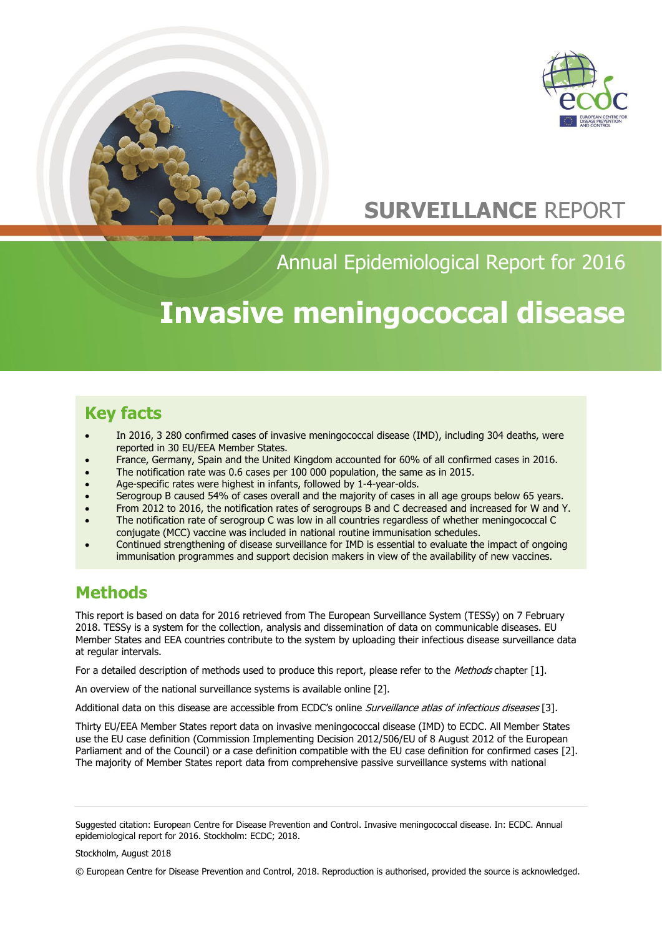



# **SURVEILLANCE** REPORT

Annual Epidemiological Report for 2016

# **Invasive meningococcal disease**

## **Key facts**

- In 2016, 3 280 confirmed cases of invasive meningococcal disease (IMD), including 304 deaths, were reported in 30 EU/EEA Member States.
- France, Germany, Spain and the United Kingdom accounted for 60% of all confirmed cases in 2016.
- The notification rate was 0.6 cases per 100 000 population, the same as in 2015.
- Age-specific rates were highest in infants, followed by 1-4-year-olds.
- Serogroup B caused 54% of cases overall and the majority of cases in all age groups below 65 years.
- From 2012 to 2016, the notification rates of serogroups B and C decreased and increased for W and Y.
- The notification rate of serogroup C was low in all countries regardless of whether meningococcal C conjugate (MCC) vaccine was included in national routine immunisation schedules.
- Continued strengthening of disease surveillance for IMD is essential to evaluate the impact of ongoing immunisation programmes and support decision makers in view of the availability of new vaccines.

## **Methods**

This report is based on data for 2016 retrieved from The European Surveillance System (TESSy) on 7 February 2018. TESSy is a system for the collection, analysis and dissemination of data on communicable diseases. EU Member States and EEA countries contribute to the system by uploading their infectious disease surveillance data at regular intervals.

For a detailed description of methods used to produce this report, please refer to the Methods chapter [1].

An overview of the national surveillance systems is available online [2].

Additional data on this disease are accessible from ECDC's online *Surveillance atlas of infectious diseases* [3].

Thirty EU/EEA Member States report data on invasive meningococcal disease (IMD) to ECDC. All Member States use the EU case definition (Commission Implementing Decision 2012/506/EU of 8 August 2012 of the European Parliament and of the Council) or a case definition compatible with the EU case definition for confirmed cases [2]. The majority of Member States report data from comprehensive passive surveillance systems with national

Stockholm, August 2018

Suggested citation: European Centre for Disease Prevention and Control. Invasive meningococcal disease. In: ECDC. Annual epidemiological report for 2016. Stockholm: ECDC; 2018.

<sup>©</sup> European Centre for Disease Prevention and Control, 2018. Reproduction is authorised, provided the source is acknowledged.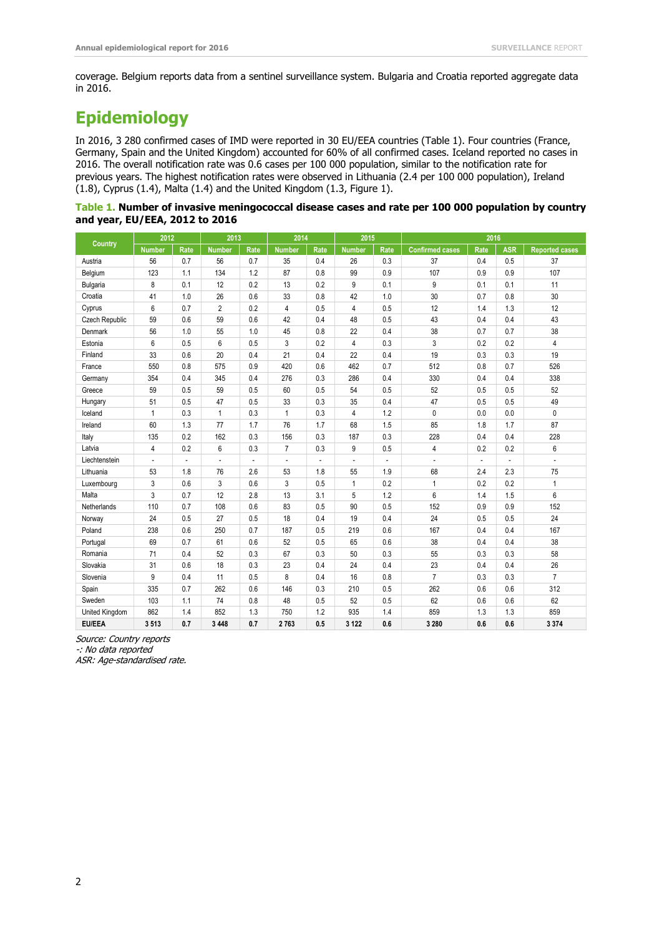coverage. Belgium reports data from a sentinel surveillance system. Bulgaria and Croatia reported aggregate data in 2016.

# **Epidemiology**

In 2016, 3 280 confirmed cases of IMD were reported in 30 EU/EEA countries (Table 1). Four countries (France, Germany, Spain and the United Kingdom) accounted for 60% of all confirmed cases. Iceland reported no cases in 2016. The overall notification rate was 0.6 cases per 100 000 population, similar to the notification rate for previous years. The highest notification rates were observed in Lithuania (2.4 per 100 000 population), Ireland (1.8), Cyprus (1.4), Malta (1.4) and the United Kingdom (1.3, Figure 1).

|                                | Table 1. Number of invasive meningococcal disease cases and rate per 100 000 population by country |  |  |
|--------------------------------|----------------------------------------------------------------------------------------------------|--|--|
| and year, EU/EEA, 2012 to 2016 |                                                                                                    |  |  |

| Country               | 2012                     |      | 2013           |      | 2014                     |      | 2015          |      | 2016                   |      |            |                       |
|-----------------------|--------------------------|------|----------------|------|--------------------------|------|---------------|------|------------------------|------|------------|-----------------------|
|                       | <b>Number</b>            | Rate | <b>Number</b>  | Rate | <b>Number</b>            | Rate | <b>Number</b> | Rate | <b>Confirmed cases</b> | Rate | <b>ASR</b> | <b>Reported cases</b> |
| Austria               | 56                       | 0.7  | 56             | 0.7  | 35                       | 0.4  | 26            | 0.3  | 37                     | 0.4  | 0.5        | 37                    |
| Belgium               | 123                      | 1.1  | 134            | 1.2  | 87                       | 0.8  | 99            | 0.9  | 107                    | 0.9  | 0.9        | 107                   |
| <b>Bulgaria</b>       | 8                        | 0.1  | 12             | 0.2  | 13                       | 0.2  | 9             | 0.1  | 9                      | 0.1  | 0.1        | 11                    |
| Croatia               | 41                       | 1.0  | 26             | 0.6  | 33                       | 0.8  | 42            | 1.0  | 30                     | 0.7  | 0.8        | 30                    |
| Cyprus                | 6                        | 0.7  | $\overline{2}$ | 0.2  | 4                        | 0.5  | 4             | 0.5  | 12                     | 1.4  | 1.3        | 12                    |
| <b>Czech Republic</b> | 59                       | 0.6  | 59             | 0.6  | 42                       | 0.4  | 48            | 0.5  | 43                     | 0.4  | 0.4        | 43                    |
| Denmark               | 56                       | 1.0  | 55             | 1.0  | 45                       | 0.8  | 22            | 0.4  | 38                     | 0.7  | 0.7        | 38                    |
| Estonia               | 6                        | 0.5  | 6              | 0.5  | 3                        | 0.2  | 4             | 0.3  | 3                      | 0.2  | 0.2        | 4                     |
| Finland               | 33                       | 0.6  | 20             | 0.4  | 21                       | 0.4  | 22            | 0.4  | 19                     | 0.3  | 0.3        | 19                    |
| France                | 550                      | 0.8  | 575            | 0.9  | 420                      | 0.6  | 462           | 0.7  | 512                    | 0.8  | 0.7        | 526                   |
| Germany               | 354                      | 0.4  | 345            | 0.4  | 276                      | 0.3  | 286           | 0.4  | 330                    | 0.4  | 0.4        | 338                   |
| Greece                | 59                       | 0.5  | 59             | 0.5  | 60                       | 0.5  | 54            | 0.5  | 52                     | 0.5  | 0.5        | 52                    |
| Hungary               | 51                       | 0.5  | 47             | 0.5  | 33                       | 0.3  | 35            | 0.4  | 47                     | 0.5  | 0.5        | 49                    |
| Iceland               | $\mathbf{1}$             | 0.3  | $\mathbf{1}$   | 0.3  | $\mathbf{1}$             | 0.3  | 4             | 1.2  | $\mathbf 0$            | 0.0  | 0.0        | 0                     |
| Ireland               | 60                       | 1.3  | 77             | 1.7  | 76                       | 1.7  | 68            | 1.5  | 85                     | 1.8  | 1.7        | 87                    |
| Italy                 | 135                      | 0.2  | 162            | 0.3  | 156                      | 0.3  | 187           | 0.3  | 228                    | 0.4  | 0.4        | 228                   |
| Latvia                | $\overline{4}$           | 0.2  | 6              | 0.3  | 7                        | 0.3  | 9             | 0.5  | 4                      | 0.2  | 0.2        | 6                     |
| Liechtenstein         | $\overline{\phantom{a}}$ | ÷,   | $\frac{1}{2}$  | ÷.   | $\overline{\phantom{a}}$ | ä,   | ÷,            | L,   | ÷,                     | L.   | L.         | ÷,                    |
| Lithuania             | 53                       | 1.8  | 76             | 2.6  | 53                       | 1.8  | 55            | 1.9  | 68                     | 2.4  | 2.3        | 75                    |
| Luxembourg            | 3                        | 0.6  | 3              | 0.6  | 3                        | 0.5  | $\mathbf{1}$  | 0.2  | $\mathbf{1}$           | 0.2  | 0.2        | $\mathbf{1}$          |
| Malta                 | 3                        | 0.7  | 12             | 2.8  | 13                       | 3.1  | 5             | 1.2  | 6                      | 1.4  | 1.5        | 6                     |
| Netherlands           | 110                      | 0.7  | 108            | 0.6  | 83                       | 0.5  | 90            | 0.5  | 152                    | 0.9  | 0.9        | 152                   |
| Norway                | 24                       | 0.5  | 27             | 0.5  | 18                       | 0.4  | 19            | 0.4  | 24                     | 0.5  | 0.5        | 24                    |
| Poland                | 238                      | 0.6  | 250            | 0.7  | 187                      | 0.5  | 219           | 0.6  | 167                    | 0.4  | 0.4        | 167                   |
| Portugal              | 69                       | 0.7  | 61             | 0.6  | 52                       | 0.5  | 65            | 0.6  | 38                     | 0.4  | 0.4        | 38                    |
| Romania               | 71                       | 0.4  | 52             | 0.3  | 67                       | 0.3  | 50            | 0.3  | 55                     | 0.3  | 0.3        | 58                    |
| Slovakia              | 31                       | 0.6  | 18             | 0.3  | 23                       | 0.4  | 24            | 0.4  | 23                     | 0.4  | 0.4        | 26                    |
| Slovenia              | 9                        | 0.4  | 11             | 0.5  | 8                        | 0.4  | 16            | 0.8  | $\overline{7}$         | 0.3  | 0.3        | $\overline{7}$        |
| Spain                 | 335                      | 0.7  | 262            | 0.6  | 146                      | 0.3  | 210           | 0.5  | 262                    | 0.6  | 0.6        | 312                   |
| Sweden                | 103                      | 1.1  | 74             | 0.8  | 48                       | 0.5  | 52            | 0.5  | 62                     | 0.6  | 0.6        | 62                    |
| United Kingdom        | 862                      | 1.4  | 852            | 1.3  | 750                      | 1.2  | 935           | 1.4  | 859                    | 1.3  | 1.3        | 859                   |
| <b>EU/EEA</b>         | 3513                     | 0.7  | 3 4 4 8        | 0.7  | 2763                     | 0.5  | 3 1 2 2       | 0.6  | 3 2 8 0                | 0.6  | 0.6        | 3374                  |

Source: Country reports

-: No data reported

ASR: Age-standardised rate.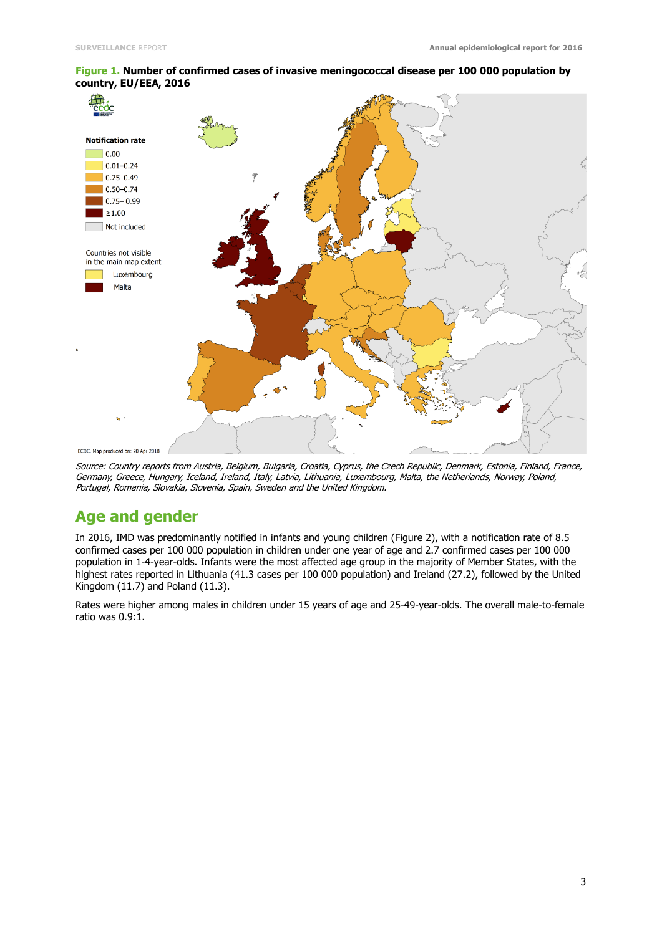

#### **Figure 1. Number of confirmed cases of invasive meningococcal disease per 100 000 population by country, EU/EEA, 2016**

Source: Country reports from Austria, Belgium, Bulgaria, Croatia, Cyprus, the Czech Republic, Denmark, Estonia, Finland, France, Germany, Greece, Hungary, Iceland, Ireland, Italy, Latvia, Lithuania, Luxembourg, Malta, the Netherlands, Norway, Poland, Portugal, Romania, Slovakia, Slovenia, Spain, Sweden and the United Kingdom.

### **Age and gender**

In 2016, IMD was predominantly notified in infants and young children (Figure 2), with a notification rate of 8.5 confirmed cases per 100 000 population in children under one year of age and 2.7 confirmed cases per 100 000 population in 1-4-year-olds. Infants were the most affected age group in the majority of Member States, with the highest rates reported in Lithuania (41.3 cases per 100 000 population) and Ireland (27.2), followed by the United Kingdom (11.7) and Poland (11.3).

Rates were higher among males in children under 15 years of age and 25-49-year-olds. The overall male-to-female ratio was 0.9:1.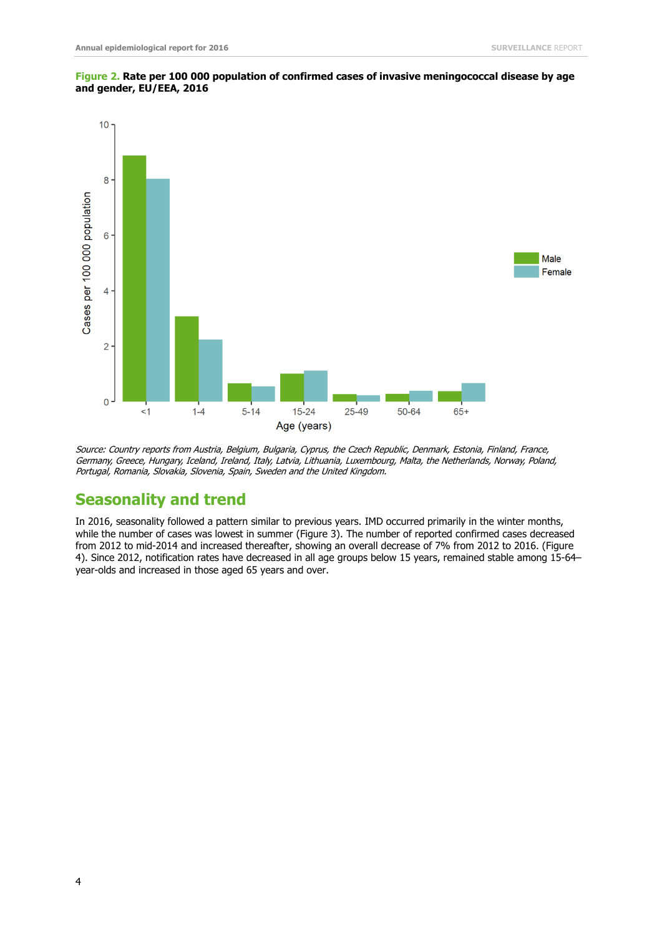



Source: Country reports from Austria, Belgium, Bulgaria, Cyprus, the Czech Republic, Denmark, Estonia, Finland, France, Germany, Greece, Hungary, Iceland, Ireland, Italy, Latvia, Lithuania, Luxembourg, Malta, the Netherlands, Norway, Poland, Portugal, Romania, Slovakia, Slovenia, Spain, Sweden and the United Kingdom.

### **Seasonality and trend**

In 2016, seasonality followed a pattern similar to previous years. IMD occurred primarily in the winter months, while the number of cases was lowest in summer (Figure 3). The number of reported confirmed cases decreased from 2012 to mid-2014 and increased thereafter, showing an overall decrease of 7% from 2012 to 2016. (Figure 4). Since 2012, notification rates have decreased in all age groups below 15 years, remained stable among 15-64– year-olds and increased in those aged 65 years and over.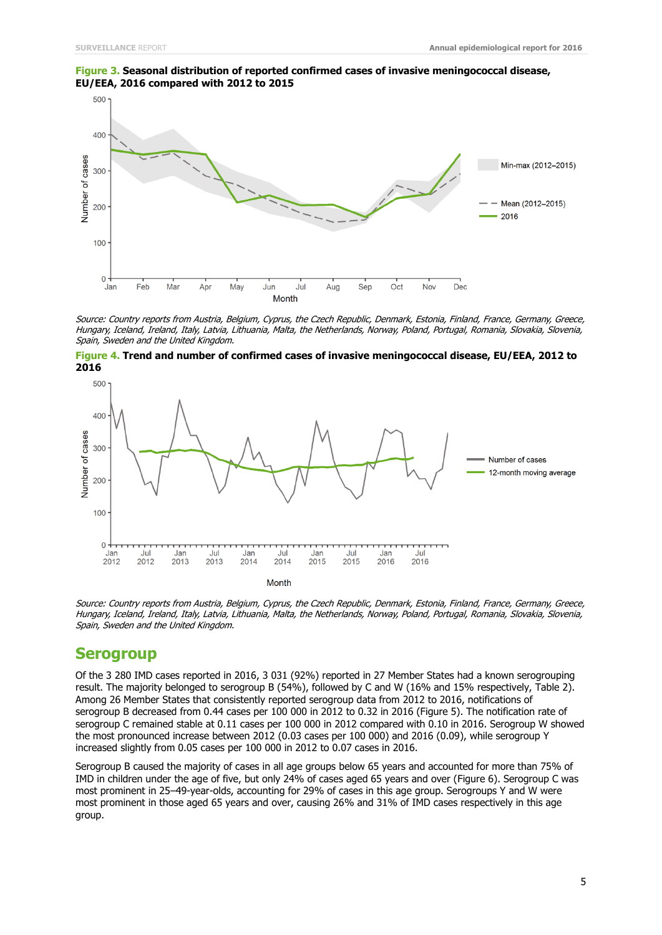



Source: Country reports from Austria, Belgium, Cyprus, the Czech Republic, Denmark, Estonia, Finland, France, Germany, Greece, Hungary, Iceland, Ireland, Italy, Latvia, Lithuania, Malta, the Netherlands, Norway, Poland, Portugal, Romania, Slovakia, Slovenia, Spain, Sweden and the United Kingdom.





Source: Country reports from Austria, Belgium, Cyprus, the Czech Republic, Denmark, Estonia, Finland, France, Germany, Greece, Hungary, Iceland, Ireland, Italy, Latvia, Lithuania, Malta, the Netherlands, Norway, Poland, Portugal, Romania, Slovakia, Slovenia, Spain, Sweden and the United Kingdom.

#### **Serogroup**

Of the 3 280 IMD cases reported in 2016, 3 031 (92%) reported in 27 Member States had a known serogrouping result. The majority belonged to serogroup B (54%), followed by C and W (16% and 15% respectively, Table 2). Among 26 Member States that consistently reported serogroup data from 2012 to 2016, notifications of serogroup B decreased from 0.44 cases per 100 000 in 2012 to 0.32 in 2016 (Figure 5). The notification rate of serogroup C remained stable at 0.11 cases per 100 000 in 2012 compared with 0.10 in 2016. Serogroup W showed the most pronounced increase between 2012 (0.03 cases per 100 000) and 2016 (0.09), while serogroup Y increased slightly from 0.05 cases per 100 000 in 2012 to 0.07 cases in 2016.

Serogroup B caused the majority of cases in all age groups below 65 years and accounted for more than 75% of IMD in children under the age of five, but only 24% of cases aged 65 years and over (Figure 6). Serogroup C was most prominent in 25–49-year-olds, accounting for 29% of cases in this age group. Serogroups Y and W were most prominent in those aged 65 years and over, causing 26% and 31% of IMD cases respectively in this age group.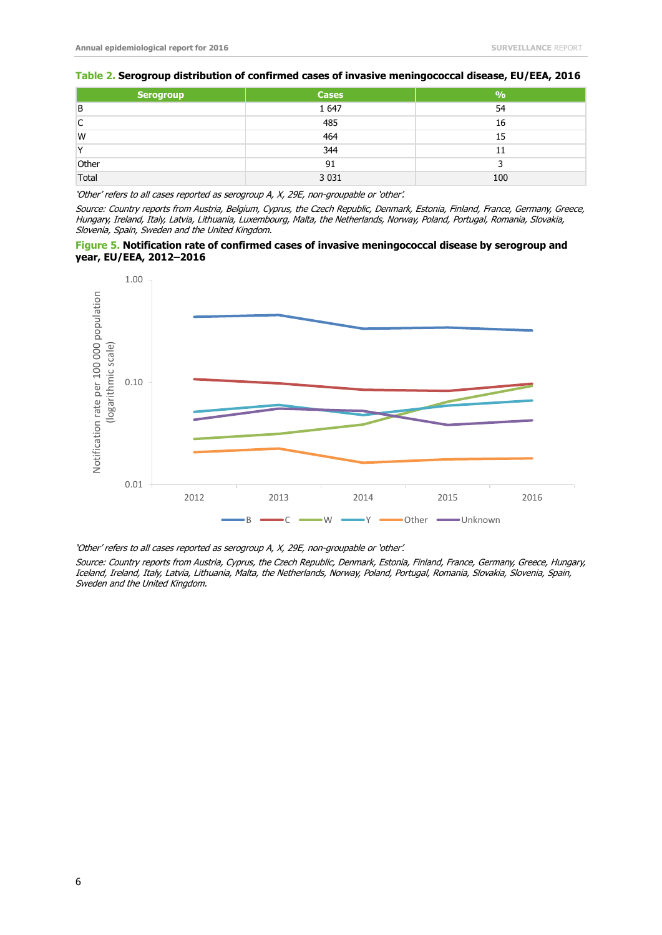#### **Table 2. Serogroup distribution of confirmed cases of invasive meningococcal disease, EU/EEA, 2016**

| Serogroup    | <b>Cases</b> | $\frac{9}{0}$ |
|--------------|--------------|---------------|
| B            | 1 647        | 54            |
| C            | 485          | 16            |
| W            | 464          | 15            |
| $\checkmark$ | 344          | 11            |
| Other        | 91           |               |
| Total        | 3 0 3 1      | 100           |

'Other' refers to all cases reported as serogroup A, X, 29E, non-groupable or 'other'.

Source: Country reports from Austria, Belgium, Cyprus, the Czech Republic, Denmark, Estonia, Finland, France, Germany, Greece, Hungary, Ireland, Italy, Latvia, Lithuania, Luxembourg, Malta, the Netherlands, Norway, Poland, Portugal, Romania, Slovakia, Slovenia, Spain, Sweden and the United Kingdom.





'Other' refers to all cases reported as serogroup A, X, 29E, non-groupable or 'other'.

Source: Country reports from Austria, Cyprus, the Czech Republic, Denmark, Estonia, Finland, France, Germany, Greece, Hungary, Iceland, Ireland, Italy, Latvia, Lithuania, Malta, the Netherlands, Norway, Poland, Portugal, Romania, Slovakia, Slovenia, Spain, Sweden and the United Kingdom.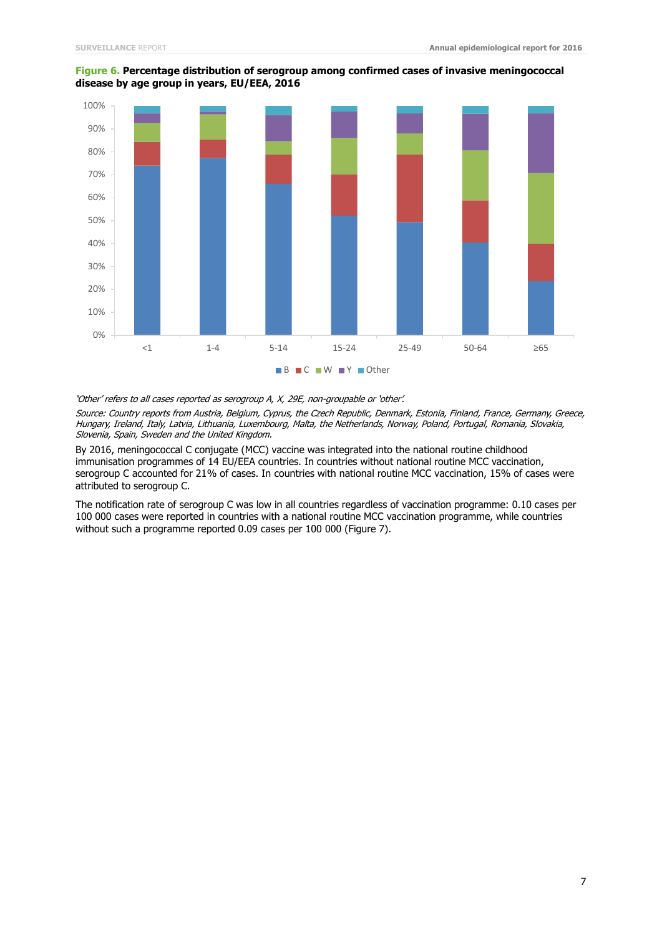

#### **Figure 6. Percentage distribution of serogroup among confirmed cases of invasive meningococcal disease by age group in years, EU/EEA, 2016**

'Other' refers to all cases reported as serogroup A, X, 29E, non-groupable or 'other'.

Source: Country reports from Austria, Belgium, Cyprus, the Czech Republic, Denmark, Estonia, Finland, France, Germany, Greece, Hungary, Ireland, Italy, Latvia, Lithuania, Luxembourg, Malta, the Netherlands, Norway, Poland, Portugal, Romania, Slovakia, Slovenia, Spain, Sweden and the United Kingdom.

By 2016, meningococcal C conjugate (MCC) vaccine was integrated into the national routine childhood immunisation programmes of 14 EU/EEA countries. In countries without national routine MCC vaccination, serogroup C accounted for 21% of cases. In countries with national routine MCC vaccination, 15% of cases were attributed to serogroup C.

The notification rate of serogroup C was low in all countries regardless of vaccination programme: 0.10 cases per 100 000 cases were reported in countries with a national routine MCC vaccination programme, while countries without such a programme reported 0.09 cases per 100 000 (Figure 7).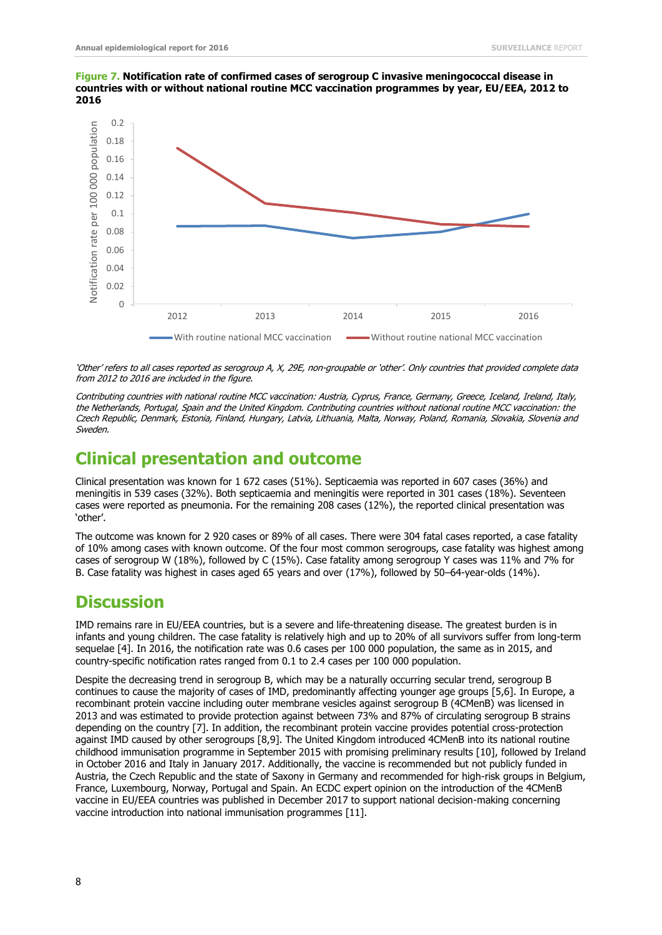**Figure 7. Notification rate of confirmed cases of serogroup C invasive meningococcal disease in countries with or without national routine MCC vaccination programmes by year, EU/EEA, 2012 to 2016**



'Other' refers to all cases reported as serogroup A, X, 29E, non-groupable or 'other'. Only countries that provided complete data from 2012 to 2016 are included in the figure.

Contributing countries with national routine MCC vaccination: Austria, Cyprus, France, Germany, Greece, Iceland, Ireland, Italy, the Netherlands, Portugal, Spain and the United Kingdom. Contributing countries without national routine MCC vaccination: the Czech Republic, Denmark, Estonia, Finland, Hungary, Latvia, Lithuania, Malta, Norway, Poland, Romania, Slovakia, Slovenia and Sweden.

## **Clinical presentation and outcome**

Clinical presentation was known for 1 672 cases (51%). Septicaemia was reported in 607 cases (36%) and meningitis in 539 cases (32%). Both septicaemia and meningitis were reported in 301 cases (18%). Seventeen cases were reported as pneumonia. For the remaining 208 cases (12%), the reported clinical presentation was 'other'.

The outcome was known for 2 920 cases or 89% of all cases. There were 304 fatal cases reported, a case fatality of 10% among cases with known outcome. Of the four most common serogroups, case fatality was highest among cases of serogroup W (18%), followed by C (15%). Case fatality among serogroup Y cases was 11% and 7% for B. Case fatality was highest in cases aged 65 years and over (17%), followed by 50–64-year-olds (14%).

## **Discussion**

IMD remains rare in EU/EEA countries, but is a severe and life-threatening disease. The greatest burden is in infants and young children. The case fatality is relatively high and up to 20% of all survivors suffer from long-term sequelae [4]. In 2016, the notification rate was 0.6 cases per 100 000 population, the same as in 2015, and country-specific notification rates ranged from 0.1 to 2.4 cases per 100 000 population.

Despite the decreasing trend in serogroup B, which may be a naturally occurring secular trend, serogroup B continues to cause the majority of cases of IMD, predominantly affecting younger age groups [5,6]. In Europe, a recombinant protein vaccine including outer membrane vesicles against serogroup B (4CMenB) was licensed in 2013 and was estimated to provide protection against between 73% and 87% of circulating serogroup B strains depending on the country [7]. In addition, the recombinant protein vaccine provides potential cross-protection against IMD caused by other serogroups [8,9]. The United Kingdom introduced 4CMenB into its national routine childhood immunisation programme in September 2015 with promising preliminary results [10], followed by Ireland in October 2016 and Italy in January 2017. Additionally, the vaccine is recommended but not publicly funded in Austria, the Czech Republic and the state of Saxony in Germany and recommended for high-risk groups in Belgium, France, Luxembourg, Norway, Portugal and Spain. An ECDC expert opinion on the introduction of the 4CMenB vaccine in EU/EEA countries was published in December 2017 to support national decision-making concerning vaccine introduction into national immunisation programmes [11].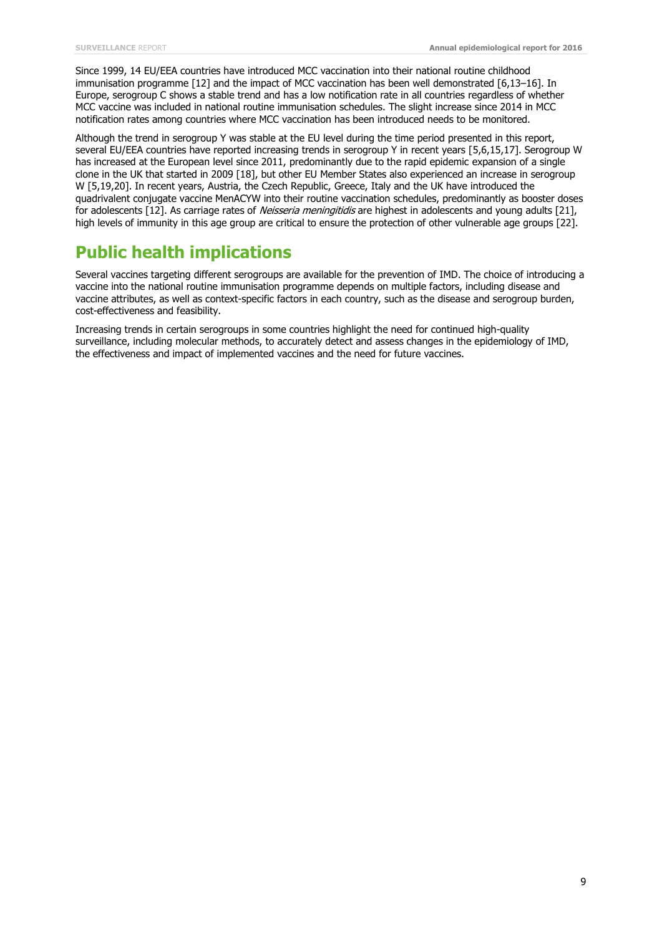Since 1999, 14 EU/EEA countries have introduced MCC vaccination into their national routine childhood immunisation programme [12] and the impact of MCC vaccination has been well demonstrated [6,13–16]. In Europe, serogroup C shows a stable trend and has a low notification rate in all countries regardless of whether MCC vaccine was included in national routine immunisation schedules. The slight increase since 2014 in MCC notification rates among countries where MCC vaccination has been introduced needs to be monitored.

Although the trend in serogroup Y was stable at the EU level during the time period presented in this report, several EU/EEA countries have reported increasing trends in serogroup Y in recent years [5,6,15,17]. Serogroup W has increased at the European level since 2011, predominantly due to the rapid epidemic expansion of a single clone in the UK that started in 2009 [18], but other EU Member States also experienced an increase in serogroup W [5,19,20]. In recent years, Austria, the Czech Republic, Greece, Italy and the UK have introduced the quadrivalent conjugate vaccine MenACYW into their routine vaccination schedules, predominantly as booster doses for adolescents [12]. As carriage rates of Neisseria meningitidis are highest in adolescents and young adults [21], high levels of immunity in this age group are critical to ensure the protection of other vulnerable age groups [22].

## **Public health implications**

Several vaccines targeting different serogroups are available for the prevention of IMD. The choice of introducing a vaccine into the national routine immunisation programme depends on multiple factors, including disease and vaccine attributes, as well as context-specific factors in each country, such as the disease and serogroup burden, cost-effectiveness and feasibility.

Increasing trends in certain serogroups in some countries highlight the need for continued high-quality surveillance, including molecular methods, to accurately detect and assess changes in the epidemiology of IMD, the effectiveness and impact of implemented vaccines and the need for future vaccines.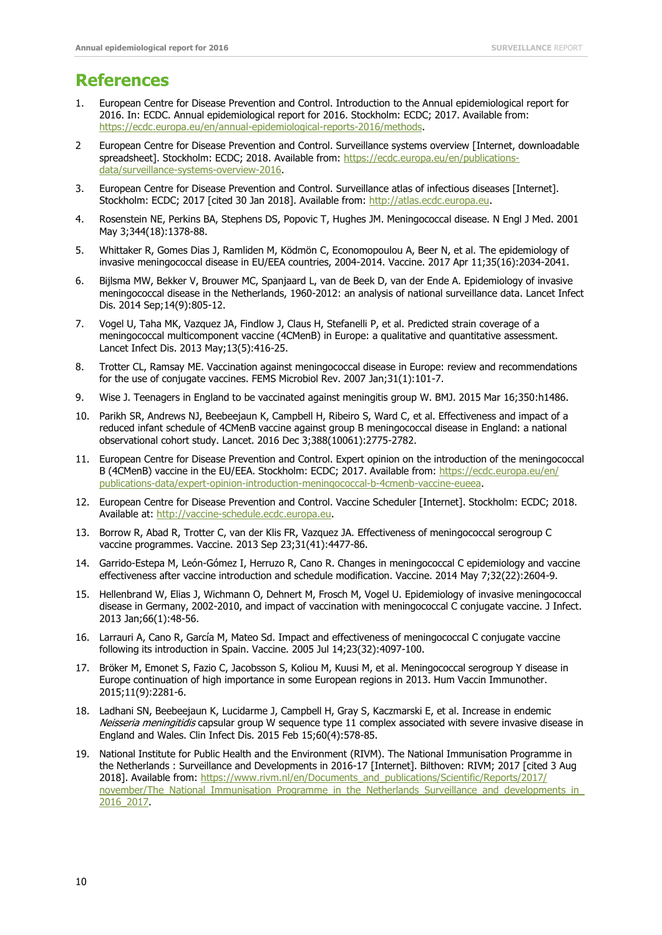## **References**

- 1. European Centre for Disease Prevention and Control. Introduction to the Annual epidemiological report for 2016. In: ECDC. Annual epidemiological report for 2016. Stockholm: ECDC; 2017. Available from: [https://ecdc.europa.eu/en/annual-epidemiological-reports-2016/methods.](https://ecdc.europa.eu/en/annual-epidemiological-reports-2016/methods)
- 2 European Centre for Disease Prevention and Control. Surveillance systems overview [Internet, downloadable spreadsheet]. Stockholm: ECDC; 2018. Available from: [https://ecdc.europa.eu/en/publications](https://ecdc.europa.eu/en/publications-data/surveillance-systems-overview-2016)[data/surveillance-systems-overview-2016.](https://ecdc.europa.eu/en/publications-data/surveillance-systems-overview-2016)
- 3. European Centre for Disease Prevention and Control. Surveillance atlas of infectious diseases [Internet]. Stockholm: ECDC; 2017 [cited 30 Jan 2018]. Available from: [http://atlas.ecdc.europa.eu.](http://atlas.ecdc.europa.eu/)
- 4. Rosenstein NE, Perkins BA, Stephens DS, Popovic T, Hughes JM. Meningococcal disease. N Engl J Med. 2001 May 3;344(18):1378-88.
- 5. Whittaker R, Gomes Dias J, Ramliden M, Ködmön C, Economopoulou A, Beer N, et al. The epidemiology of invasive meningococcal disease in EU/EEA countries, 2004-2014. Vaccine. 2017 Apr 11;35(16):2034-2041.
- 6. Bijlsma MW, Bekker V, Brouwer MC, Spanjaard L, van de Beek D, van der Ende A. Epidemiology of invasive meningococcal disease in the Netherlands, 1960-2012: an analysis of national surveillance data. Lancet Infect Dis. 2014 Sep;14(9):805-12.
- 7. Vogel U, Taha MK, Vazquez JA, Findlow J, Claus H, Stefanelli P, et al. Predicted strain coverage of a meningococcal multicomponent vaccine (4CMenB) in Europe: a qualitative and quantitative assessment. Lancet Infect Dis. 2013 May;13(5):416-25.
- 8. Trotter CL, Ramsay ME. Vaccination against meningococcal disease in Europe: review and recommendations for the use of conjugate vaccines. FEMS Microbiol Rev. 2007 Jan;31(1):101-7.
- 9. Wise J. Teenagers in England to be vaccinated against meningitis group W. BMJ. 2015 Mar 16;350:h1486.
- 10. Parikh SR, Andrews NJ, Beebeejaun K, Campbell H, Ribeiro S, Ward C, et al. Effectiveness and impact of a reduced infant schedule of 4CMenB vaccine against group B meningococcal disease in England: a national observational cohort study. Lancet. 2016 Dec 3;388(10061):2775-2782.
- 11. European Centre for Disease Prevention and Control. Expert opinion on the introduction of the meningococcal B (4CMenB) vaccine in the EU/EEA. Stockholm: ECDC; 2017. Available from: [https://ecdc.europa.eu/en/](https://ecdc.europa.eu/en/publications-data/expert-opinion-introduction-meningococcal-b-4cmenb-vaccine-eueea)  [publications-data/expert-opinion-introduction-meningococcal-b-4cmenb-vaccine-eueea.](https://ecdc.europa.eu/en/publications-data/expert-opinion-introduction-meningococcal-b-4cmenb-vaccine-eueea)
- 12. European Centre for Disease Prevention and Control. Vaccine Scheduler [Internet]. Stockholm: ECDC; 2018. Available at: [http://vaccine-schedule.ecdc.europa.eu.](http://vaccine-schedule.ecdc.europa.eu/Pages/Scheduler.aspx)
- 13. Borrow R, Abad R, Trotter C, van der Klis FR, Vazquez JA. Effectiveness of meningococcal serogroup C vaccine programmes. Vaccine. 2013 Sep 23;31(41):4477-86.
- 14. Garrido-Estepa M, León-Gómez I, Herruzo R, Cano R. Changes in meningococcal C epidemiology and vaccine effectiveness after vaccine introduction and schedule modification. Vaccine. 2014 May 7;32(22):2604-9.
- 15. Hellenbrand W, Elias J, Wichmann O, Dehnert M, Frosch M, Vogel U. Epidemiology of invasive meningococcal disease in Germany, 2002-2010, and impact of vaccination with meningococcal C conjugate vaccine. J Infect. 2013 Jan;66(1):48-56.
- 16. Larrauri A, Cano R, García M, Mateo Sd. Impact and effectiveness of meningococcal C conjugate vaccine following its introduction in Spain. Vaccine. 2005 Jul 14;23(32):4097-100.
- 17. Bröker M, Emonet S, Fazio C, Jacobsson S, Koliou M, Kuusi M, et al. Meningococcal serogroup Y disease in Europe continuation of high importance in some European regions in 2013. Hum Vaccin Immunother. 2015;11(9):2281-6.
- 18. Ladhani SN, Beebeejaun K, Lucidarme J, Campbell H, Gray S, Kaczmarski E, et al. Increase in endemic Neisseria meningitidis capsular group W sequence type 11 complex associated with severe invasive disease in England and Wales. Clin Infect Dis. 2015 Feb 15;60(4):578-85.
- 19. National Institute for Public Health and the Environment (RIVM). The National Immunisation Programme in the Netherlands : Surveillance and Developments in 2016-17 [Internet]. Bilthoven: RIVM; 2017 [cited 3 Aug 2018]. Available from: [https://www.rivm.nl/en/Documents\\_and\\_publications/Scientific/Reports/2017/](https://www.rivm.nl/en/Documents_and_publications/Scientific/Reports/2017/november/The_National_Immunisation_Programme_in_the_Netherlands_Surveillance_and_developments_in_2016_2017) november/The\_National\_Immunisation\_Programme\_in\_the\_Netherlands\_Surveillance\_and\_developments\_in [2016\\_2017.](https://www.rivm.nl/en/Documents_and_publications/Scientific/Reports/2017/november/The_National_Immunisation_Programme_in_the_Netherlands_Surveillance_and_developments_in_2016_2017)